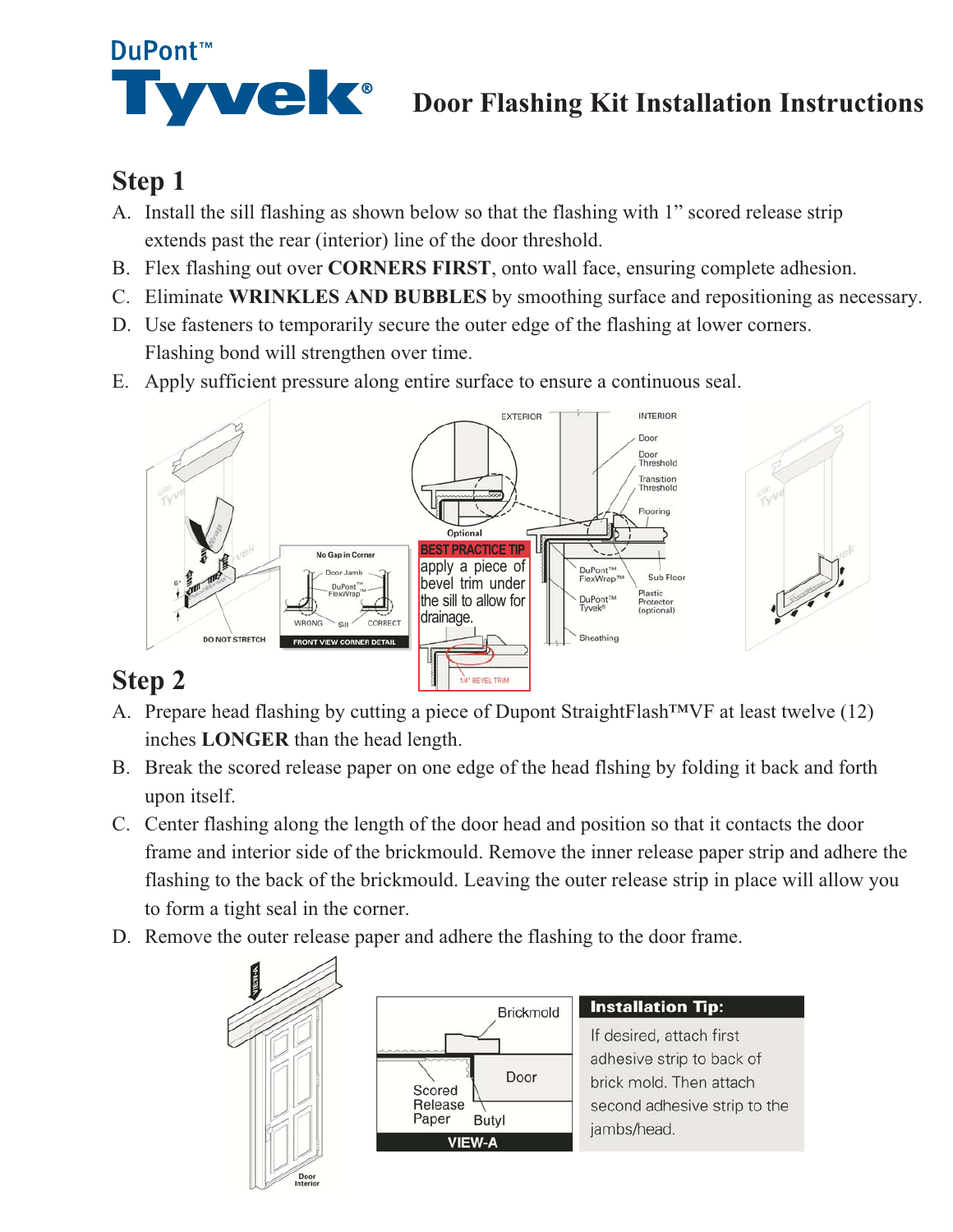

# **WE CONTRESS** Door Flashing Kit Installation Instructions

# **Step 1**

- A. Install the sill flashing as shown below so that the flashing with 1" scored release strip extends past the rear (interior) line of the door threshold.
- B. Flex flashing out over CORNERS FIRST, onto wall face, ensuring complete adhesion.
- C. Eliminate WRINKLES AND BUBBLES by smoothing surface and repositioning as necessary.
- D. Use fasteners to temporarily secure the outer edge of the flashing at lower corners. Flashing bond will strengthen over time.
- E. Apply sufficient pressure along entire surface to ensure a continuous seal.



# **Step 2**

- A. Prepare head flashing by cutting a piece of Dupont StraightFlash<sup>TM</sup>VF at least twelve (12) inches **LONGER** than the head length.
- B. Break the scored release paper on one edge of the head flshing by folding it back and forth upon itself.
- C. Center flashing along the length of the door head and position so that it contacts the door frame and interior side of the brickmould. Remove the inner release paper strip and adhere the flashing to the back of the brickmould. Leaving the outer release strip in place will allow you to form a tight seal in the corner.
- D. Remove the outer release paper and adhere the flashing to the door frame.





#### **Installation Tip:**

If desired, attach first adhesive strip to back of brick mold. Then attach second adhesive strip to the jambs/head.